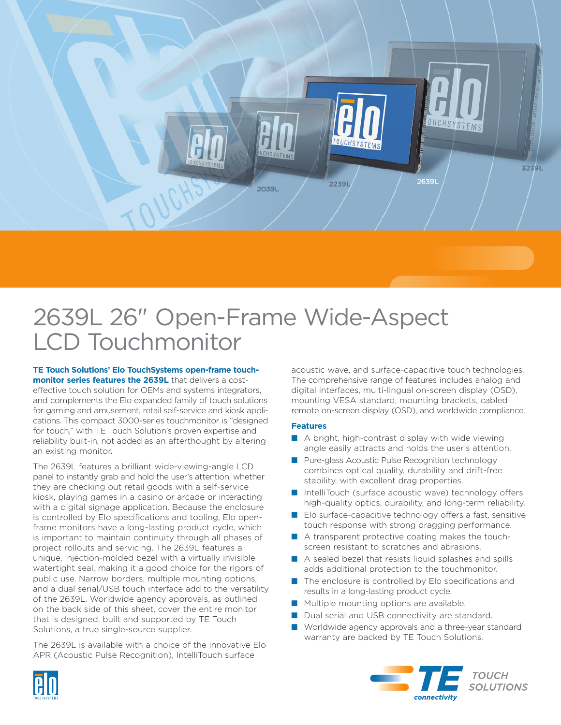

# 2639L 26" Open-Frame Wide-Aspect LCD Touchmonitor

**TE Touch Solutions' Elo TouchSystems open-frame touchmonitor series features the 2639L** that delivers a costeffective touch solution for OEMs and systems integrators, and complements the Elo expanded family of touch solutions for gaming and amusement, retail self-service and kiosk applications. This compact 3000-series touchmonitor is "designed for touch," with TE Touch Solution's proven expertise and reliability built-in, not added as an afterthought by altering an existing monitor.

The 2639L features a brilliant wide-viewing-angle LCD panel to instantly grab and hold the user's attention, whether they are checking out retail goods with a self-service kiosk, playing games in a casino or arcade or interacting with a digital signage application. Because the enclosure is controlled by Elo specifications and tooling, Elo openframe monitors have a long-lasting product cycle, which is important to maintain continuity through all phases of project rollouts and servicing. The 2639L features a unique, injection-molded bezel with a virtually invisible watertight seal, making it a good choice for the rigors of public use. Narrow borders, multiple mounting options, and a dual serial/USB touch interface add to the versatility of the 2639L. Worldwide agency approvals, as outlined on the back side of this sheet, cover the entire monitor that is designed, built and supported by TE Touch Solutions, a true single-source supplier.

The 2639L is available with a choice of the innovative Elo APR (Acoustic Pulse Recognition), IntelliTouch surface

acoustic wave, and surface-capacitive touch technologies. The comprehensive range of features includes analog and digital interfaces, multi-lingual on-screen display (OSD), mounting VESA standard, mounting brackets, cabled remote on-screen display (OSD), and worldwide compliance.

### **Features**

- A bright, high-contrast display with wide viewing angle easily attracts and holds the user's attention.
- Pure-glass Acoustic Pulse Recognition technology combines optical quality, durability and drift-free stability, with excellent drag properties.
- IntelliTouch (surface acoustic wave) technology offers high-quality optics, durability, and long-term reliability.
- Elo surface-capacitive technology offers a fast, sensitive touch response with strong dragging performance.
- A transparent protective coating makes the touchscreen resistant to scratches and abrasions.
- A sealed bezel that resists liquid splashes and spills adds additional protection to the touchmonitor.
- The enclosure is controlled by Elo specifications and results in a long-lasting product cycle.
- Multiple mounting options are available.
- Dual serial and USB connectivity are standard.
- Worldwide agency approvals and a three-year standard warranty are backed by TE Touch Solutions.